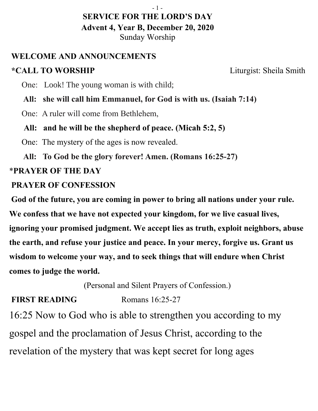#### - 1 -

#### **SERVICE FOR THE LORD'S DAY Advent 4, Year B, December 20, 2020** Sunday Worship

### **WELCOME AND ANNOUNCEMENTS**

## **\*CALL TO WORSHIP** Liturgist: Sheila Smith

One: Look! The young woman is with child;

 **All: she will call him Emmanuel, for God is with us. (Isaiah 7:14)**

One: A ruler will come from Bethlehem,

**All: and he will be the shepherd of peace. (Micah 5:2, 5)**

One: The mystery of the ages is now revealed.

 **All: To God be the glory forever! Amen. (Romans 16:25-27)** 

## \***PRAYER OF THE DAY**

#### **PRAYER OF CONFESSION**

 **God of the future, you are coming in power to bring all nations under your rule. We confess that we have not expected your kingdom, for we live casual lives, ignoring your promised judgment. We accept lies as truth, exploit neighbors, abuse the earth, and refuse your justice and peace. In your mercy, forgive us. Grant us wisdom to welcome your way, and to seek things that will endure when Christ comes to judge the world.**

(Personal and Silent Prayers of Confession.)

## **FIRST READING** Romans 16:25-27

16:25 Now to God who is able to strengthen you according to my gospel and the proclamation of Jesus Christ, according to the revelation of the mystery that was kept secret for long ages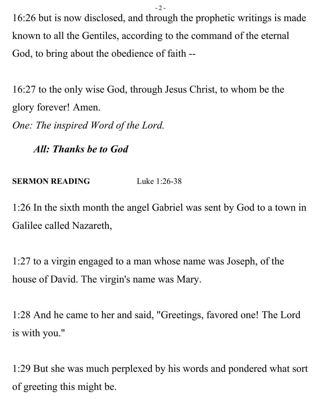- 2 -

16:26 but is now disclosed, and through the prophetic writings is made known to all the Gentiles, according to the command of the eternal God, to bring about the obedience of faith --

16:27 to the only wise God, through Jesus Christ, to whom be the glory forever! Amen.

*One: The inspired Word of the Lord.*

 *All: Thanks be to God*

**SERMON READING** Luke 1:26-38

1:26 In the sixth month the angel Gabriel was sent by God to a town in Galilee called Nazareth,

1:27 to a virgin engaged to a man whose name was Joseph, of the house of David. The virgin's name was Mary.

1:28 And he came to her and said, "Greetings, favored one! The Lord is with you."

1:29 But she was much perplexed by his words and pondered what sort of greeting this might be.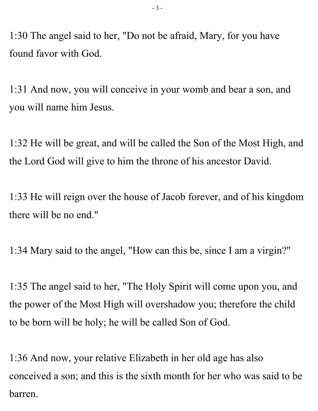1:30 The angel said to her, "Do not be afraid, Mary, for you have found favor with God.

1:31 And now, you will conceive in your womb and bear a son, and you will name him Jesus.

1:32 He will be great, and will be called the Son of the Most High, and the Lord God will give to him the throne of his ancestor David.

1:33 He will reign over the house of Jacob forever, and of his kingdom there will be no end."

1:34 Mary said to the angel, "How can this be, since I am a virgin?"

1:35 The angel said to her, "The Holy Spirit will come upon you, and the power of the Most High will overshadow you; therefore the child to be born will be holy; he will be called Son of God.

1:36 And now, your relative Elizabeth in her old age has also conceived a son; and this is the sixth month for her who was said to be barren.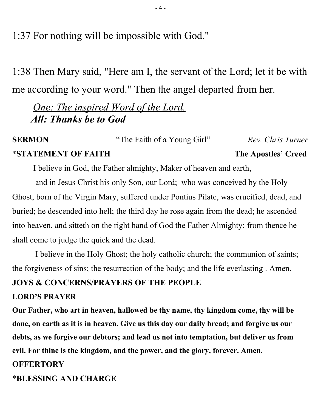1:37 For nothing will be impossible with God."

1:38 Then Mary said, "Here am I, the servant of the Lord; let it be with me according to your word." Then the angel departed from her.

 *One: The inspired Word of the Lord. All: Thanks be to God*

**SERMON** "The Faith of a Young Girl" *Rev. Chris Turner* \***STATEMENT OF FAITH The Apostles' Creed**

I believe in God, the Father almighty, Maker of heaven and earth,

 and in Jesus Christ his only Son, our Lord; who was conceived by the Holy Ghost, born of the Virgin Mary, suffered under Pontius Pilate, was crucified, dead, and buried; he descended into hell; the third day he rose again from the dead; he ascended into heaven, and sitteth on the right hand of God the Father Almighty; from thence he shall come to judge the quick and the dead.

 I believe in the Holy Ghost; the holy catholic church; the communion of saints; the forgiveness of sins; the resurrection of the body; and the life everlasting . Amen.

#### **JOYS & CONCERNS/PRAYERS OF THE PEOPLE**

#### **LORD'S PRAYER**

**Our Father, who art in heaven, hallowed be thy name, thy kingdom come, thy will be done, on earth as it is in heaven. Give us this day our daily bread; and forgive us our debts, as we forgive our debtors; and lead us not into temptation, but deliver us from evil. For thine is the kingdom, and the power, and the glory, forever. Amen.**

#### **OFFERTORY**

\***BLESSING AND CHARGE**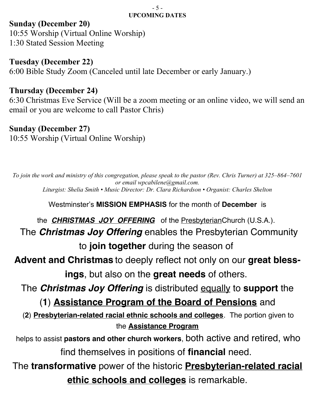#### - 5 - **UPCOMING DATES**

#### **Sunday (December 20)**

10:55 Worship (Virtual Online Worship) 1:30 Stated Session Meeting

**Tuesday (December 22)** 

6:00 Bible Study Zoom (Canceled until late December or early January.)

#### **Thursday (December 24)**

6:30 Christmas Eve Service (Will be a zoom meeting or an online video, we will send an email or you are welcome to call Pastor Chris)

#### **Sunday (December 27)**

10:55 Worship (Virtual Online Worship)

*To join the work and ministry of this congregation, please speak to the pastor (Rev. Chris Turner) at 325–864–7601 or email wpcabilene@gmail.com. Liturgist: Shelia Smith • Music Director: Dr. Clara Richardson • Organist: Charles Shelton*

Westminster's **MISSION EMPHASIS** for the month of **December** is

the **CHRISTMAS JOY OFFERING** of the Presbyterian Church (U.S.A.). The **Christmas Joy Offering** enables the Presbyterian Community to **join together** during the season of

**Advent and Christmas** to deeply reflect not only on our **great blessings**, but also on the **great needs** of others.

The **Christmas Joy Offering** is distributed equally to **support** the

(**1**) **Assistance Program of the Board of Pensions** and

(**2**) **Presbyterian-related racial ethnic schools and colleges**. The portion given to the **Assistance Program**

helps to assist **pastors and other church workers**, both active and retired, who find themselves in positions of **financial** need.

The **transformative** power of the historic **Presbyterian-related racial ethic schools and colleges** is remarkable.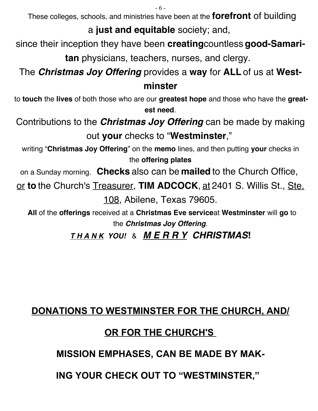- 6 -

These colleges, schools, and ministries have been at the **forefront** of building

a **just and equitable** society; and,

since their inception they have been **creating**countless **good-Samaritan** physicians, teachers, nurses, and clergy.

The **Christmas Joy Offering** provides a **way** for **ALL** of us at **West-**

## **minster**

to **touch** the **lives** of both those who are our **greatest hope** and those who have the **greatest need**.

Contributions to the **Christmas Joy Offering** can be made by making out **your** checks to "**Westminster**,"

writing "**Christmas Joy Offering**" on the **memo** lines, and then putting **your** checks in the **offering plates**

on a Sunday morning. **Checks** also can be **mailed** to the Church Office,

or **to** the Church's Treasurer, **TIM ADCOCK**, at 2401 S. Willis St., Ste. 108, Abilene, Texas 79605.

**All** of the **offerings** received at a **Christmas Eve service**at **Westminster** will **go** to the **Christmas Joy Offering**.

**T H A N K YOU!** & **M E R R Y CHRISTMAS!**

# **DONATIONS TO WESTMINSTER FOR THE CHURCH, AND/**

## **OR FOR THE CHURCH'S**

**MISSION EMPHASES, CAN BE MADE BY MAK-**

**ING YOUR CHECK OUT TO "WESTMINSTER,"**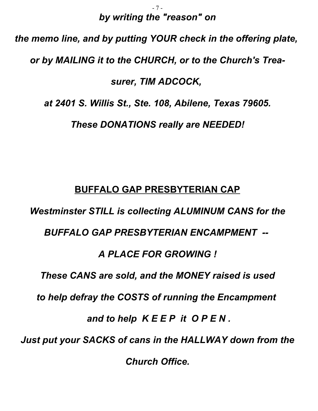#### - 7 *by writing the "reason" on*

# *the memo line, and by putting YOUR check in the offering plate, or by MAILING it to the CHURCH, or to the Church's Treasurer, TIM ADCOCK, at 2401 S. Willis St., Ste. 108, Abilene, Texas 79605. These DONATIONS really are NEEDED!*

## **BUFFALO GAP PRESBYTERIAN CAP**

*Westminster STILL is collecting ALUMINUM CANS for the BUFFALO GAP PRESBYTERIAN ENCAMPMENT -- A PLACE FOR GROWING ! These CANS are sold, and the MONEY raised is used to help defray the COSTS of running the Encampment and to help K E E P it O P E N . Just put your SACKS of cans in the HALLWAY down from the Church Office.*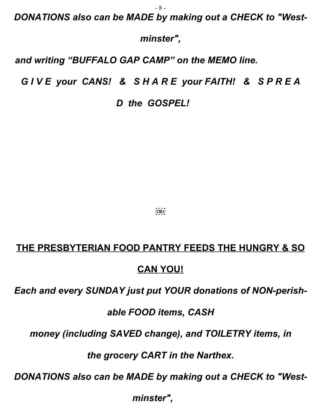- 8 -

*DONATIONS also can be MADE by making out a CHECK to "West-*

*minster",*

*and writing "BUFFALO GAP CAMP" on the MEMO line.*

*G I V E your CANS! & S H A R E your FAITH! & S P R E A*

*D the GOSPEL!*

 $[OB]$ 

#### **THE PRESBYTERIAN FOOD PANTRY FEEDS THE HUNGRY & SO**

#### **CAN YOU!**

*Each and every SUNDAY just put YOUR donations of NON-perish-*

*able FOOD items, CASH*

*money (including SAVED change), and TOILETRY items, in*

*the grocery CART in the Narthex.*

*DONATIONS also can be MADE by making out a CHECK to "West-*

*minster",*